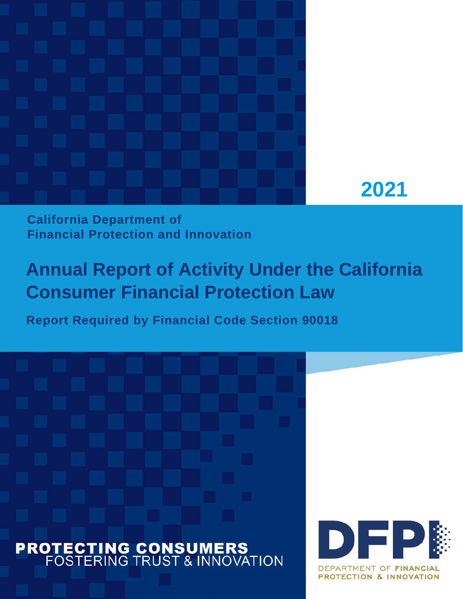



# **California Department of Financial Protection and Innovation**

# **Annual Report of Activity Under the California Consumer Financial Protection Law**

**Report Required by Financial Code Section 90018**

# **PROTECTING CONSUMERS**<br>FOSTERING TRUST & INNOVATION

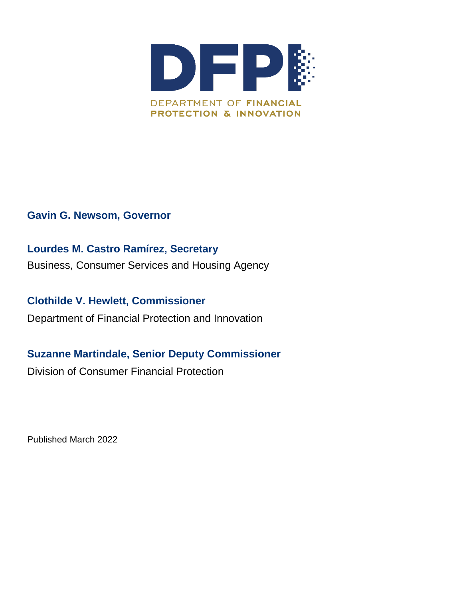

#### **Gavin G. Newsom, Governor**

# **Lourdes M. Castro Ramírez, Secretary**

Business, Consumer Services and Housing Agency

**Clothilde V. Hewlett, Commissioner** Department of Financial Protection and Innovation

# **Suzanne Martindale, Senior Deputy Commissioner**

Division of Consumer Financial Protection

Published March 2022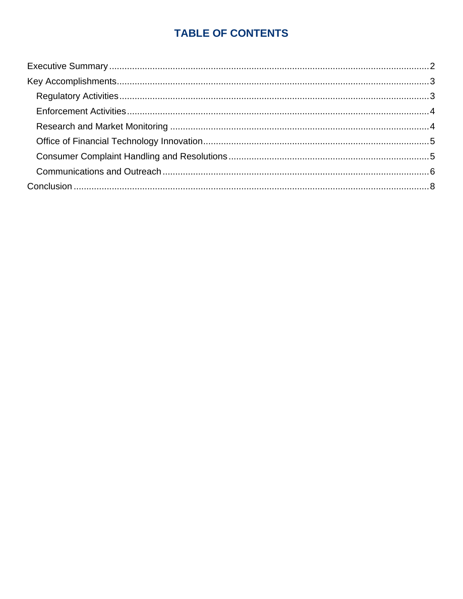# **TABLE OF CONTENTS**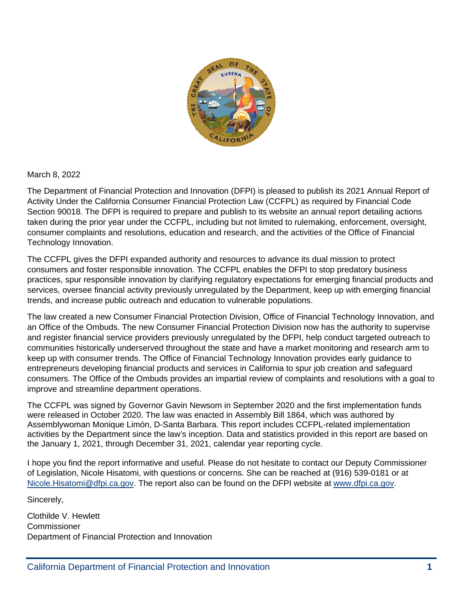

March 8, 2022

The Department of Financial Protection and Innovation (DFPI) is pleased to publish its 2021 Annual Report of Activity Under the California Consumer Financial Protection Law (CCFPL) as required by Financial Code Section 90018. The DFPI is required to prepare and publish to its website an annual report detailing actions taken during the prior year under the CCFPL, including but not limited to rulemaking, enforcement, oversight, consumer complaints and resolutions, education and research, and the activities of the Office of Financial Technology Innovation.

The CCFPL gives the DFPI expanded authority and resources to advance its dual mission to protect consumers and foster responsible innovation. The CCFPL enables the DFPI to stop predatory business practices, spur responsible innovation by clarifying regulatory expectations for emerging financial products and services, oversee financial activity previously unregulated by the Department, keep up with emerging financial trends, and increase public outreach and education to vulnerable populations.

The law created a new Consumer Financial Protection Division, Office of Financial Technology Innovation, and an Office of the Ombuds. The new Consumer Financial Protection Division now has the authority to supervise and register financial service providers previously unregulated by the DFPI, help conduct targeted outreach to communities historically underserved throughout the state and have a market monitoring and research arm to keep up with consumer trends. The Office of Financial Technology Innovation provides early guidance to entrepreneurs developing financial products and services in California to spur job creation and safeguard consumers. The Office of the Ombuds provides an impartial review of complaints and resolutions with a goal to improve and streamline department operations.

The CCFPL was signed by Governor Gavin Newsom in September 2020 and the first implementation funds were released in October 2020. The law was enacted in Assembly Bill 1864, which was authored by Assemblywoman Monique Limón, D-Santa Barbara. This report includes CCFPL-related implementation activities by the Department since the law's inception. Data and statistics provided in this report are based on the January 1, 2021, through December 31, 2021, calendar year reporting cycle.

I hope you find the report informative and useful. Please do not hesitate to contact our Deputy Commissioner of Legislation, Nicole Hisatomi, with questions or concerns. She can be reached at (916) 539-0181 or at [Nicole.Hisatomi@dfpi.ca.gov.](mailto:Nicole.Hisatomi@dfpi.ca.gov) The report also can be found on the DFPI website at [www.dfpi.ca.gov.](http://www.dfpi.ca.gov/)

Sincerely,

Clothilde V. Hewlett Commissioner Department of Financial Protection and Innovation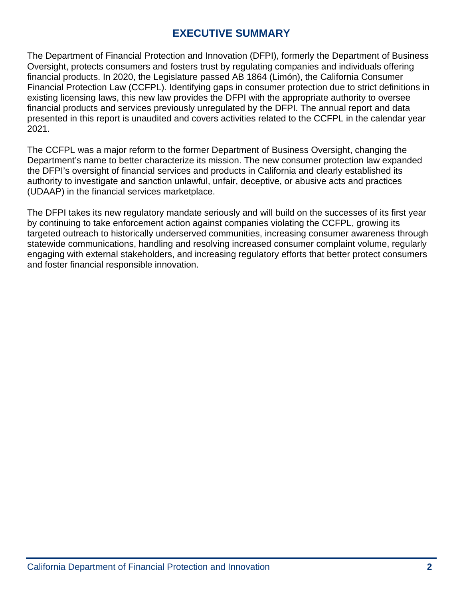## **EXECUTIVE SUMMARY**

<span id="page-4-0"></span>The Department of Financial Protection and Innovation (DFPI), formerly the Department of Business Oversight, protects consumers and fosters trust by regulating companies and individuals offering financial products. In 2020, the Legislature passed AB 1864 (Limón), the California Consumer Financial Protection Law (CCFPL). Identifying gaps in consumer protection due to strict definitions in existing licensing laws, this new law provides the DFPI with the appropriate authority to oversee financial products and services previously unregulated by the DFPI. The annual report and data presented in this report is unaudited and covers activities related to the CCFPL in the calendar year 2021.

The CCFPL was a major reform to the former Department of Business Oversight, changing the Department's name to better characterize its mission. The new consumer protection law expanded the DFPI's oversight of financial services and products in California and clearly established its authority to investigate and sanction unlawful, unfair, deceptive, or abusive acts and practices (UDAAP) in the financial services marketplace.

The DFPI takes its new regulatory mandate seriously and will build on the successes of its first year by continuing to take enforcement action against companies violating the CCFPL, growing its targeted outreach to historically underserved communities, increasing consumer awareness through statewide communications, handling and resolving increased consumer complaint volume, regularly engaging with external stakeholders, and increasing regulatory efforts that better protect consumers and foster financial responsible innovation.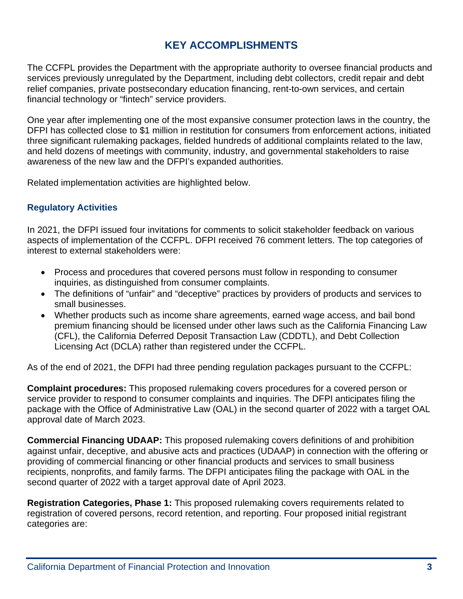# **KEY ACCOMPLISHMENTS**

<span id="page-5-0"></span>The CCFPL provides the Department with the appropriate authority to oversee financial products and services previously unregulated by the Department, including debt collectors, credit repair and debt relief companies, private postsecondary education financing, rent-to-own services, and certain financial technology or "fintech" service providers.

One year after implementing one of the most expansive consumer protection laws in the country, the DFPI has collected close to \$1 million in restitution for consumers from enforcement actions, initiated three significant rulemaking packages, fielded hundreds of additional complaints related to the law, and held dozens of meetings with community, industry, and governmental stakeholders to raise awareness of the new law and the DFPI's expanded authorities.

Related implementation activities are highlighted below.

#### <span id="page-5-1"></span>**Regulatory Activities**

In 2021, the DFPI issued four invitations for comments to solicit stakeholder feedback on various aspects of implementation of the CCFPL. DFPI received 76 comment letters. The top categories of interest to external stakeholders were:

- Process and procedures that covered persons must follow in responding to consumer inquiries, as distinguished from consumer complaints.
- The definitions of "unfair" and "deceptive" practices by providers of products and services to small businesses.
- Whether products such as income share agreements, earned wage access, and bail bond premium financing should be licensed under other laws such as the California Financing Law (CFL), the California Deferred Deposit Transaction Law (CDDTL), and Debt Collection Licensing Act (DCLA) rather than registered under the CCFPL.

As of the end of 2021, the DFPI had three pending regulation packages pursuant to the CCFPL:

**Complaint procedures:** This proposed rulemaking covers procedures for a covered person or service provider to respond to consumer complaints and inquiries. The DFPI anticipates filing the package with the Office of Administrative Law (OAL) in the second quarter of 2022 with a target OAL approval date of March 2023.

**Commercial Financing UDAAP:** This proposed rulemaking covers definitions of and prohibition against unfair, deceptive, and abusive acts and practices (UDAAP) in connection with the offering or providing of commercial financing or other financial products and services to small business recipients, nonprofits, and family farms. The DFPI anticipates filing the package with OAL in the second quarter of 2022 with a target approval date of April 2023.

**Registration Categories, Phase 1:** This proposed rulemaking covers requirements related to registration of covered persons, record retention, and reporting. Four proposed initial registrant categories are: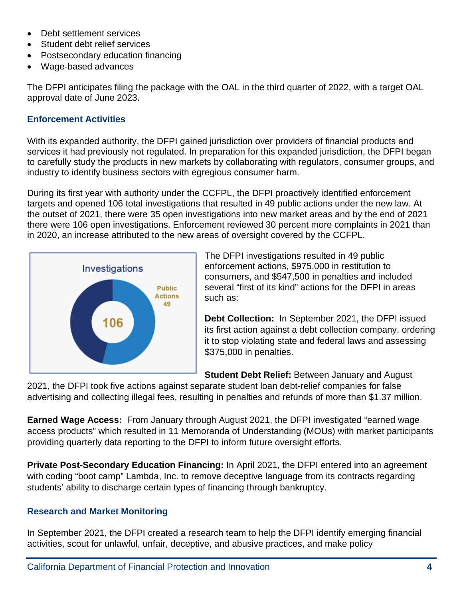- Debt settlement services
- Student debt relief services
- Postsecondary education financing
- Wage-based advances

The DFPI anticipates filing the package with the OAL in the third quarter of 2022, with a target OAL approval date of June 2023.

#### <span id="page-6-0"></span>**Enforcement Activities**

With its expanded authority, the DFPI gained jurisdiction over providers of financial products and services it had previously not regulated. In preparation for this expanded jurisdiction, the DFPI began to carefully study the products in new markets by collaborating with regulators, consumer groups, and industry to identify business sectors with egregious consumer harm.

During its first year with authority under the CCFPL, the DFPI proactively identified enforcement targets and opened 106 total investigations that resulted in 49 public actions under the new law. At the outset of 2021, there were 35 open investigations into new market areas and by the end of 2021 there were 106 open investigations. Enforcement reviewed 30 percent more complaints in 2021 than in 2020, an increase attributed to the new areas of oversight covered by the CCFPL.



The DFPI investigations resulted in 49 public enforcement actions, \$975,000 in restitution to consumers, and \$547,500 in penalties and included several "first of its kind" actions for the DFPI in areas such as:

**Debt Collection:** In September 2021, the DFPI issued its first action against a debt collection company, ordering it to stop violating state and federal laws and assessing \$375,000 in penalties.

**Student Debt Relief:** Between January and August

2021, the DFPI took five actions against separate student loan debt-relief companies for false advertising and collecting illegal fees, resulting in penalties and refunds of more than \$1.37 million.

**Earned Wage Access:** From January through August 2021, the DFPI investigated "earned wage access products" which resulted in 11 Memoranda of Understanding (MOUs) with market participants providing quarterly data reporting to the DFPI to inform future oversight efforts.

**Private Post-Secondary Education Financing:** In April 2021, the DFPI entered into an agreement with coding "boot camp" Lambda, Inc. to remove deceptive language from its contracts regarding students' ability to discharge certain types of financing through bankruptcy.

#### <span id="page-6-1"></span>**Research and Market Monitoring**

In September 2021, the DFPI created a research team to help the DFPI identify emerging financial activities, scout for unlawful, unfair, deceptive, and abusive practices, and make policy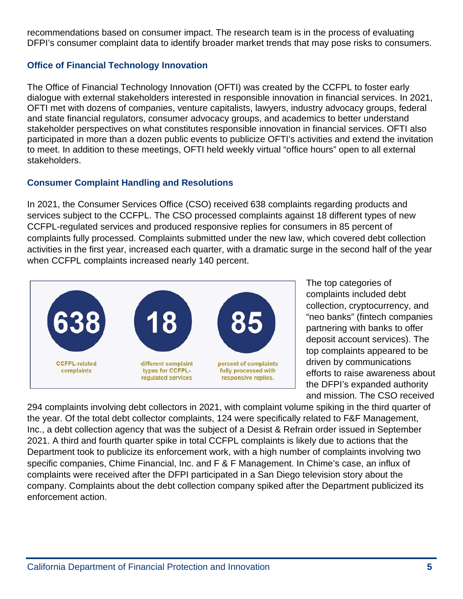recommendations based on consumer impact. The research team is in the process of evaluating DFPI's consumer complaint data to identify broader market trends that may pose risks to consumers.

#### <span id="page-7-0"></span>**Office of Financial Technology Innovation**

The Office of Financial Technology Innovation (OFTI) was created by the CCFPL to foster early dialogue with external stakeholders interested in responsible innovation in financial services. In 2021, OFTI met with dozens of companies, venture capitalists, lawyers, industry advocacy groups, federal and state financial regulators, consumer advocacy groups, and academics to better understand stakeholder perspectives on what constitutes responsible innovation in financial services. OFTI also participated in more than a dozen public events to publicize OFTI's activities and extend the invitation to meet. In addition to these meetings, OFTI held weekly virtual "office hours" open to all external stakeholders.

#### <span id="page-7-1"></span>**Consumer Complaint Handling and Resolutions**

In 2021, the Consumer Services Office (CSO) received 638 complaints regarding products and services subject to the CCFPL. The CSO processed complaints against 18 different types of new CCFPL-regulated services and produced responsive replies for consumers in 85 percent of complaints fully processed. Complaints submitted under the new law, which covered debt collection activities in the first year, increased each quarter, with a dramatic surge in the second half of the year when CCFPL complaints increased nearly 140 percent.



The top categories of complaints included debt collection, cryptocurrency, and "neo banks" (fintech companies partnering with banks to offer deposit account services). The top complaints appeared to be driven by communications efforts to raise awareness about the DFPI's expanded authority and mission. The CSO received

294 complaints involving debt collectors in 2021, with complaint volume spiking in the third quarter of the year. Of the total debt collector complaints, 124 were specifically related to F&F Management, Inc., a debt collection agency that was the subject of a Desist & Refrain order issued in September 2021. A third and fourth quarter spike in total CCFPL complaints is likely due to actions that the Department took to publicize its enforcement work, with a high number of complaints involving two specific companies, Chime Financial, Inc. and F & F Management. In Chime's case, an influx of complaints were received after the DFPI participated in a San Diego television story about the company. Complaints about the debt collection company spiked after the Department publicized its enforcement action.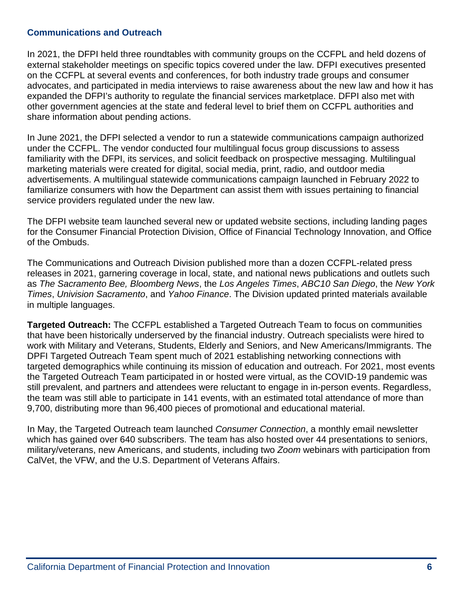#### <span id="page-8-0"></span>**Communications and Outreach**

In 2021, the DFPI held three roundtables with community groups on the CCFPL and held dozens of external stakeholder meetings on specific topics covered under the law. DFPI executives presented on the CCFPL at several events and conferences, for both industry trade groups and consumer advocates, and participated in media interviews to raise awareness about the new law and how it has expanded the DFPI's authority to regulate the financial services marketplace. DFPI also met with other government agencies at the state and federal level to brief them on CCFPL authorities and share information about pending actions.

In June 2021, the DFPI selected a vendor to run a statewide communications campaign authorized under the CCFPL. The vendor conducted four multilingual focus group discussions to assess familiarity with the DFPI, its services, and solicit feedback on prospective messaging. Multilingual marketing materials were created for digital, social media, print, radio, and outdoor media advertisements. A multilingual statewide communications campaign launched in February 2022 to familiarize consumers with how the Department can assist them with issues pertaining to financial service providers regulated under the new law.

The DFPI website team launched several new or updated website sections, including landing pages for the Consumer Financial Protection Division, Office of Financial Technology Innovation, and Office of the Ombuds.

The Communications and Outreach Division published more than a dozen CCFPL-related press releases in 2021, garnering coverage in local, state, and national news publications and outlets such as *The Sacramento Bee, Bloomberg News*, the *Los Angeles Times*, *ABC10 San Diego*, the *New York Times*, *Univision Sacramento*, and *Yahoo Finance*. The Division updated printed materials available in multiple languages.

**Targeted Outreach:** The CCFPL established a Targeted Outreach Team to focus on communities that have been historically underserved by the financial industry. Outreach specialists were hired to work with Military and Veterans, Students, Elderly and Seniors, and New Americans/Immigrants. The DPFI Targeted Outreach Team spent much of 2021 establishing networking connections with targeted demographics while continuing its mission of education and outreach. For 2021, most events the Targeted Outreach Team participated in or hosted were virtual, as the COVID-19 pandemic was still prevalent, and partners and attendees were reluctant to engage in in-person events. Regardless, the team was still able to participate in 141 events, with an estimated total attendance of more than 9,700, distributing more than 96,400 pieces of promotional and educational material.

In May, the Targeted Outreach team launched *Consumer Connection*, a monthly email newsletter which has gained over 640 subscribers. The team has also hosted over 44 presentations to seniors, military/veterans, new Americans, and students, including two *Zoom* webinars with participation from CalVet, the VFW, and the U.S. Department of Veterans Affairs.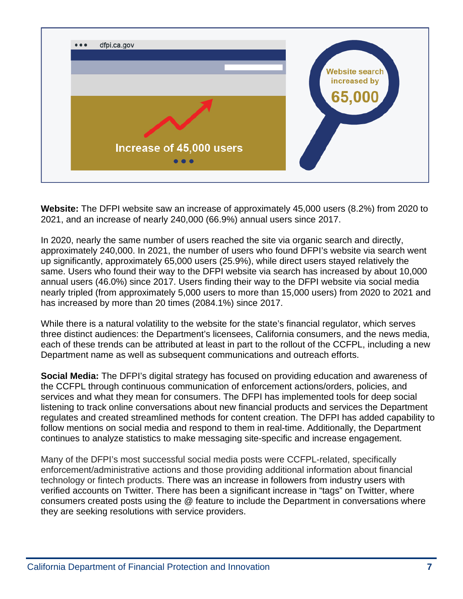

**Website:** The DFPI website saw an increase of approximately 45,000 users (8.2%) from 2020 to 2021, and an increase of nearly 240,000 (66.9%) annual users since 2017.

In 2020, nearly the same number of users reached the site via organic search and directly, approximately 240,000. In 2021, the number of users who found DFPI's website via search went up significantly, approximately 65,000 users (25.9%), while direct users stayed relatively the same. Users who found their way to the DFPI website via search has increased by about 10,000 annual users (46.0%) since 2017. Users finding their way to the DFPI website via social media nearly tripled (from approximately 5,000 users to more than 15,000 users) from 2020 to 2021 and has increased by more than 20 times (2084.1%) since 2017.

While there is a natural volatility to the website for the state's financial regulator, which serves three distinct audiences: the Department's licensees, California consumers, and the news media, each of these trends can be attributed at least in part to the rollout of the CCFPL, including a new Department name as well as subsequent communications and outreach efforts.

**Social Media:** The DFPI's digital strategy has focused on providing education and awareness of the CCFPL through continuous communication of enforcement actions/orders, policies, and services and what they mean for consumers. The DFPI has implemented tools for deep social listening to track online conversations about new financial products and services the Department regulates and created streamlined methods for content creation. The DFPI has added capability to follow mentions on social media and respond to them in real-time. Additionally, the Department continues to analyze statistics to make messaging site-specific and increase engagement.

Many of the DFPI's most successful social media posts were CCFPL-related, specifically enforcement/administrative actions and those providing additional information about financial technology or fintech products. There was an increase in followers from industry users with verified accounts on Twitter. There has been a significant increase in "tags" on Twitter, where consumers created posts using the @ feature to include the Department in conversations where they are seeking resolutions with service providers.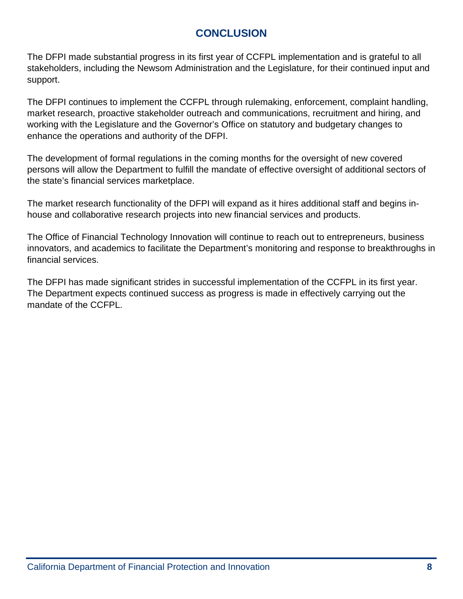## **CONCLUSION**

<span id="page-10-0"></span>The DFPI made substantial progress in its first year of CCFPL implementation and is grateful to all stakeholders, including the Newsom Administration and the Legislature, for their continued input and support.

The DFPI continues to implement the CCFPL through rulemaking, enforcement, complaint handling, market research, proactive stakeholder outreach and communications, recruitment and hiring, and working with the Legislature and the Governor's Office on statutory and budgetary changes to enhance the operations and authority of the DFPI.

The development of formal regulations in the coming months for the oversight of new covered persons will allow the Department to fulfill the mandate of effective oversight of additional sectors of the state's financial services marketplace.

The market research functionality of the DFPI will expand as it hires additional staff and begins inhouse and collaborative research projects into new financial services and products.

The Office of Financial Technology Innovation will continue to reach out to entrepreneurs, business innovators, and academics to facilitate the Department's monitoring and response to breakthroughs in financial services.

The DFPI has made significant strides in successful implementation of the CCFPL in its first year. The Department expects continued success as progress is made in effectively carrying out the mandate of the CCFPL.